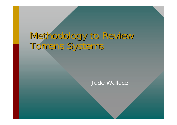# Methodology to Review Torrens Systems

#### Jude Wallace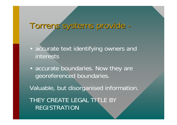# Torrens systems provide - Torrens systems provide -

- accurate text identifying owners and interests
- accurate boundaries. Now they are georeferenced boundaries.

Valuable, but disorganised information.

THEY CREATE LEGAL TITLE BY REGISTRATION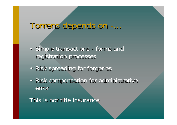#### Torrens depends on -...

- Simple transactions forms and registration processes
- Risk spreading for forgeries
- Risk compensation for administrative error

This is not title insurance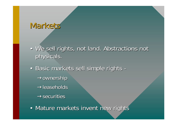### Markets

- We sell rights, not land. Abstractions not physicals. physicals.
- Basic markets sell simple rights - $\rightarrow$ ownership  $\rightarrow$ leaseholds  $\rightarrow$ securities
- Mature markets invent new rights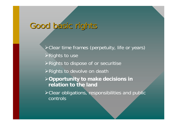## Good basic rights

!Clear time frames (perpetuity, life or years)  $\triangleright$  Rights to use  $\triangleright$  Rights to dispose of or securitise **>Rights to devolve on death** !**Opportunity to make decisions in relation to the land**!Clear obligations, responsibilities and public controls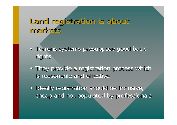#### Land registration is about markets

- Torrens systems presuppose good basic rights
- They provide a registration process which is reasonable and effective
- Ideally registration should be inclusive, cheap and not populated by professionals cheap and not populated by professionals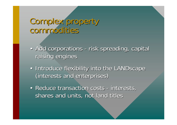### Complex property commodities

- Add corporations risk spreading, capital raising engines
- Introduce flexibility into the LANDscape (interests and enterprises) (interests and enterprises)
- Reduce transaction costs interests, shares and units, not land titles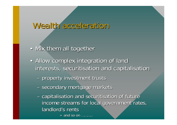#### Wealth acceleration

- Mix them all together
- Allow complex integration of land interests, securitisation and capitalisation
	- –– property investment trusts
	- –– secondary mortgage markets
	- –– capitalisation and securitisation of future income streams for local government rates, landlord's rents

» and so on ……….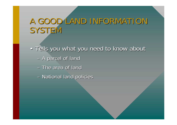# A GOOD LAND INFORMATION SYSTEM

- Tells you what you need to know about – A parcel of land
	- The area of land
	- –– National land policies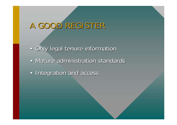# A GOOD REGISTER

- Only legal tenure information
- Mature administration standards
- Integration and access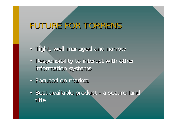## FUTURE FOR TORRENS

- Tight, well managed and narrow
- Responsibility to interact with other information systems
- Focused on market
- Best available product a secure land title